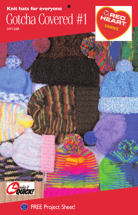## Gotcha Covered #1 **Knit hats for everyone**